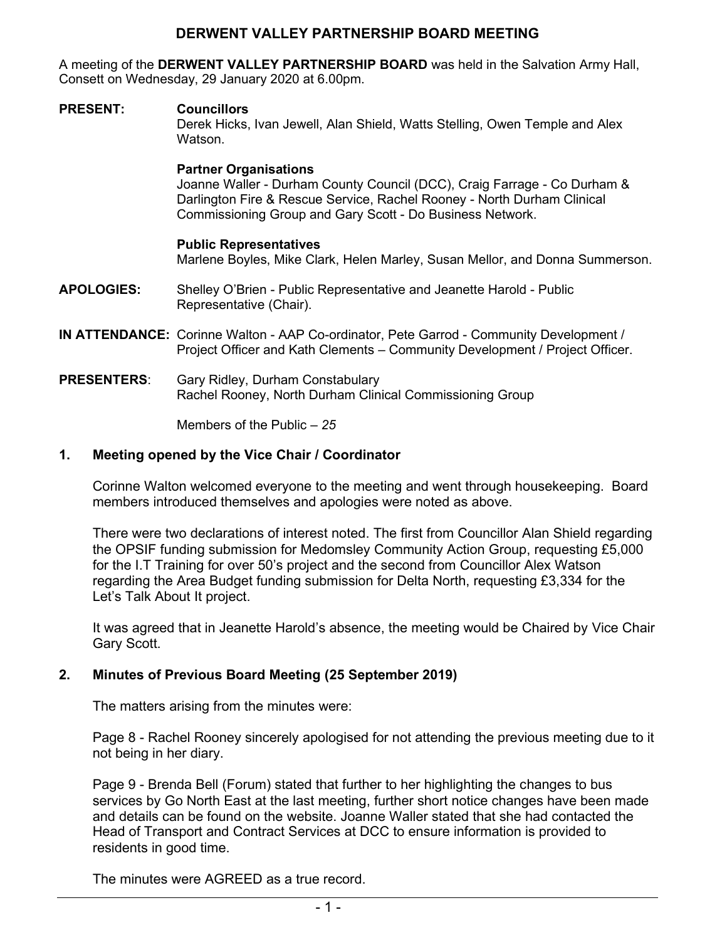## **DERWENT VALLEY PARTNERSHIP BOARD MEETING**

A meeting of the **DERWENT VALLEY PARTNERSHIP BOARD** was held in the Salvation Army Hall, Consett on Wednesday, 29 January 2020 at 6.00pm.

#### **PRESENT: Councillors**

Derek Hicks, Ivan Jewell, Alan Shield, Watts Stelling, Owen Temple and Alex Watson.

#### **Partner Organisations**

Joanne Waller - Durham County Council (DCC), Craig Farrage - Co Durham & Darlington Fire & Rescue Service, Rachel Rooney - North Durham Clinical Commissioning Group and Gary Scott - Do Business Network.

#### **Public Representatives**

Marlene Boyles, Mike Clark, Helen Marley, Susan Mellor, and Donna Summerson.

- **APOLOGIES:** Shelley O'Brien Public Representative and Jeanette Harold Public Representative (Chair).
- **IN ATTENDANCE:** Corinne Walton AAP Co-ordinator, Pete Garrod Community Development / Project Officer and Kath Clements – Community Development / Project Officer.
- **PRESENTERS**: Gary Ridley, Durham Constabulary Rachel Rooney, North Durham Clinical Commissioning Group

Members of the Public *– 25* 

## **1. Meeting opened by the Vice Chair / Coordinator**

Corinne Walton welcomed everyone to the meeting and went through housekeeping. Board members introduced themselves and apologies were noted as above.

There were two declarations of interest noted. The first from Councillor Alan Shield regarding the OPSIF funding submission for Medomsley Community Action Group, requesting £5,000 for the I.T Training for over 50's project and the second from Councillor Alex Watson regarding the Area Budget funding submission for Delta North, requesting £3,334 for the Let's Talk About It project.

It was agreed that in Jeanette Harold's absence, the meeting would be Chaired by Vice Chair Gary Scott.

## **2. Minutes of Previous Board Meeting (25 September 2019)**

The matters arising from the minutes were:

Page 8 - Rachel Rooney sincerely apologised for not attending the previous meeting due to it not being in her diary.

Page 9 - Brenda Bell (Forum) stated that further to her highlighting the changes to bus services by Go North East at the last meeting, further short notice changes have been made and details can be found on the website. Joanne Waller stated that she had contacted the Head of Transport and Contract Services at DCC to ensure information is provided to residents in good time.

The minutes were AGREED as a true record.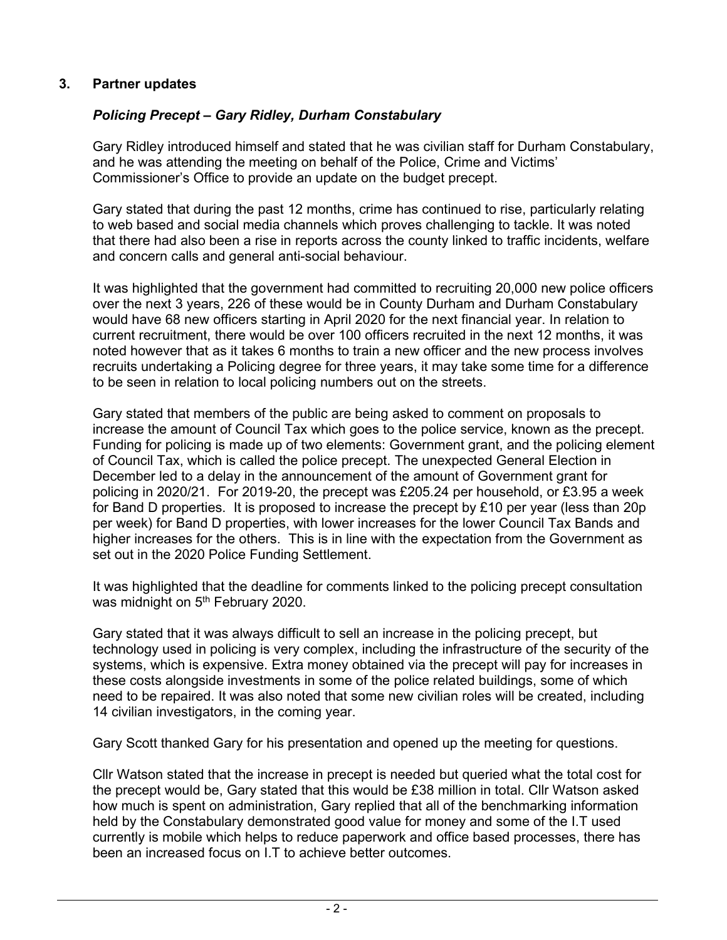## **3. Partner updates**

# *Policing Precept – Gary Ridley, Durham Constabulary*

Gary Ridley introduced himself and stated that he was civilian staff for Durham Constabulary, and he was attending the meeting on behalf of the Police, Crime and Victims' Commissioner's Office to provide an update on the budget precept.

Gary stated that during the past 12 months, crime has continued to rise, particularly relating to web based and social media channels which proves challenging to tackle. It was noted that there had also been a rise in reports across the county linked to traffic incidents, welfare and concern calls and general anti-social behaviour.

It was highlighted that the government had committed to recruiting 20,000 new police officers over the next 3 years, 226 of these would be in County Durham and Durham Constabulary would have 68 new officers starting in April 2020 for the next financial year. In relation to current recruitment, there would be over 100 officers recruited in the next 12 months, it was noted however that as it takes 6 months to train a new officer and the new process involves recruits undertaking a Policing degree for three years, it may take some time for a difference to be seen in relation to local policing numbers out on the streets.

Gary stated that members of the public are being asked to comment on proposals to increase the amount of Council Tax which goes to the police service, known as the precept. Funding for policing is made up of two elements: Government grant, and the policing element of Council Tax, which is called the police precept. The unexpected General Election in December led to a delay in the announcement of the amount of Government grant for policing in 2020/21. For 2019-20, the precept was £205.24 per household, or £3.95 a week for Band D properties. It is proposed to increase the precept by £10 per year (less than 20p per week) for Band D properties, with lower increases for the lower Council Tax Bands and higher increases for the others. This is in line with the expectation from the Government as set out in the 2020 Police Funding Settlement.

It was highlighted that the deadline for comments linked to the policing precept consultation was midnight on 5<sup>th</sup> February 2020.

Gary stated that it was always difficult to sell an increase in the policing precept, but technology used in policing is very complex, including the infrastructure of the security of the systems, which is expensive. Extra money obtained via the precept will pay for increases in these costs alongside investments in some of the police related buildings, some of which need to be repaired. It was also noted that some new civilian roles will be created, including 14 civilian investigators, in the coming year.

Gary Scott thanked Gary for his presentation and opened up the meeting for questions.

Cllr Watson stated that the increase in precept is needed but queried what the total cost for the precept would be, Gary stated that this would be £38 million in total. Cllr Watson asked how much is spent on administration, Gary replied that all of the benchmarking information held by the Constabulary demonstrated good value for money and some of the I.T used currently is mobile which helps to reduce paperwork and office based processes, there has been an increased focus on I.T to achieve better outcomes.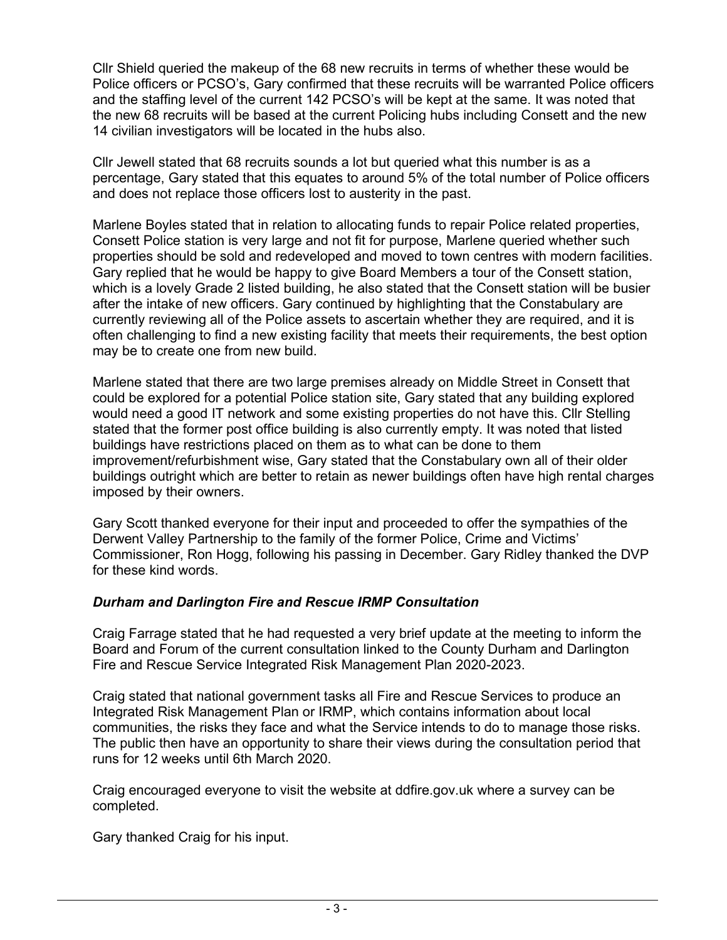Cllr Shield queried the makeup of the 68 new recruits in terms of whether these would be Police officers or PCSO's, Gary confirmed that these recruits will be warranted Police officers and the staffing level of the current 142 PCSO's will be kept at the same. It was noted that the new 68 recruits will be based at the current Policing hubs including Consett and the new 14 civilian investigators will be located in the hubs also.

Cllr Jewell stated that 68 recruits sounds a lot but queried what this number is as a percentage, Gary stated that this equates to around 5% of the total number of Police officers and does not replace those officers lost to austerity in the past.

Marlene Boyles stated that in relation to allocating funds to repair Police related properties, Consett Police station is very large and not fit for purpose, Marlene queried whether such properties should be sold and redeveloped and moved to town centres with modern facilities. Gary replied that he would be happy to give Board Members a tour of the Consett station, which is a lovely Grade 2 listed building, he also stated that the Consett station will be busier after the intake of new officers. Gary continued by highlighting that the Constabulary are currently reviewing all of the Police assets to ascertain whether they are required, and it is often challenging to find a new existing facility that meets their requirements, the best option may be to create one from new build.

Marlene stated that there are two large premises already on Middle Street in Consett that could be explored for a potential Police station site, Gary stated that any building explored would need a good IT network and some existing properties do not have this. Cllr Stelling stated that the former post office building is also currently empty. It was noted that listed buildings have restrictions placed on them as to what can be done to them improvement/refurbishment wise, Gary stated that the Constabulary own all of their older buildings outright which are better to retain as newer buildings often have high rental charges imposed by their owners.

Gary Scott thanked everyone for their input and proceeded to offer the sympathies of the Derwent Valley Partnership to the family of the former Police, Crime and Victims' Commissioner, Ron Hogg, following his passing in December. Gary Ridley thanked the DVP for these kind words.

## *Durham and Darlington Fire and Rescue IRMP Consultation*

Craig Farrage stated that he had requested a very brief update at the meeting to inform the Board and Forum of the current consultation linked to the County Durham and Darlington Fire and Rescue Service Integrated Risk Management Plan 2020-2023.

Craig stated that national government tasks all Fire and Rescue Services to produce an Integrated Risk Management Plan or IRMP, which contains information about local communities, the risks they face and what the Service intends to do to manage those risks. The public then have an opportunity to share their views during the consultation period that runs for 12 weeks until 6th March 2020.

Craig encouraged everyone to visit the website at ddfire.gov.uk where a survey can be completed.

Gary thanked Craig for his input.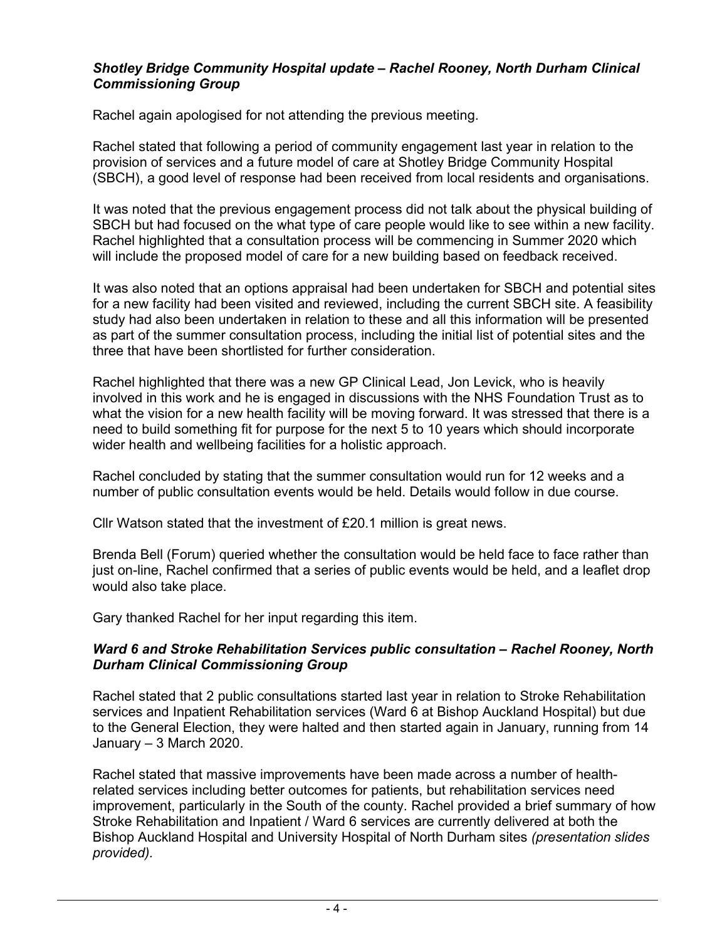## *Shotley Bridge Community Hospital update – Rachel Rooney, North Durham Clinical Commissioning Group*

Rachel again apologised for not attending the previous meeting.

Rachel stated that following a period of community engagement last year in relation to the provision of services and a future model of care at Shotley Bridge Community Hospital (SBCH), a good level of response had been received from local residents and organisations.

It was noted that the previous engagement process did not talk about the physical building of SBCH but had focused on the what type of care people would like to see within a new facility. Rachel highlighted that a consultation process will be commencing in Summer 2020 which will include the proposed model of care for a new building based on feedback received.

It was also noted that an options appraisal had been undertaken for SBCH and potential sites for a new facility had been visited and reviewed, including the current SBCH site. A feasibility study had also been undertaken in relation to these and all this information will be presented as part of the summer consultation process, including the initial list of potential sites and the three that have been shortlisted for further consideration.

Rachel highlighted that there was a new GP Clinical Lead, Jon Levick, who is heavily involved in this work and he is engaged in discussions with the NHS Foundation Trust as to what the vision for a new health facility will be moving forward. It was stressed that there is a need to build something fit for purpose for the next 5 to 10 years which should incorporate wider health and wellbeing facilities for a holistic approach.

Rachel concluded by stating that the summer consultation would run for 12 weeks and a number of public consultation events would be held. Details would follow in due course.

Cllr Watson stated that the investment of £20.1 million is great news.

Brenda Bell (Forum) queried whether the consultation would be held face to face rather than just on-line, Rachel confirmed that a series of public events would be held, and a leaflet drop would also take place.

Gary thanked Rachel for her input regarding this item.

## *Ward 6 and Stroke Rehabilitation Services public consultation – Rachel Rooney, North Durham Clinical Commissioning Group*

Rachel stated that 2 public consultations started last year in relation to Stroke Rehabilitation services and Inpatient Rehabilitation services (Ward 6 at Bishop Auckland Hospital) but due to the General Election, they were halted and then started again in January, running from 14 January – 3 March 2020.

Rachel stated that massive improvements have been made across a number of healthrelated services including better outcomes for patients, but rehabilitation services need improvement, particularly in the South of the county. Rachel provided a brief summary of how Stroke Rehabilitation and Inpatient / Ward 6 services are currently delivered at both the Bishop Auckland Hospital and University Hospital of North Durham sites *(presentation slides provided).*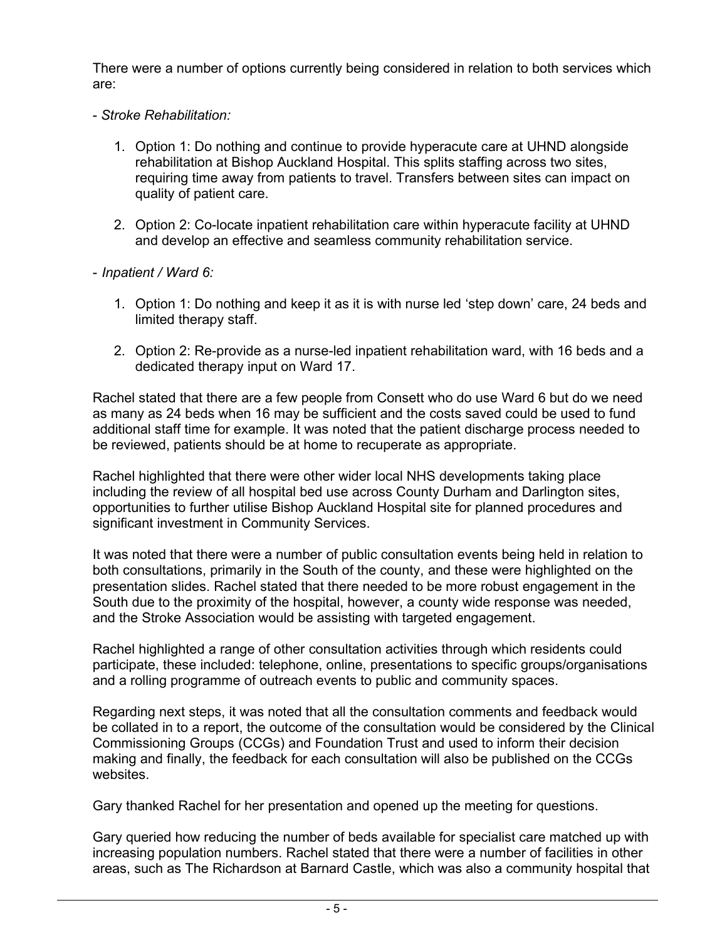There were a number of options currently being considered in relation to both services which are:

- *Stroke Rehabilitation:* 
	- 1. Option 1: Do nothing and continue to provide hyperacute care at UHND alongside rehabilitation at Bishop Auckland Hospital. This splits staffing across two sites, requiring time away from patients to travel. Transfers between sites can impact on quality of patient care.
	- 2. Option 2: Co-locate inpatient rehabilitation care within hyperacute facility at UHND and develop an effective and seamless community rehabilitation service.
- *Inpatient / Ward 6:* 
	- 1. Option 1: Do nothing and keep it as it is with nurse led 'step down' care, 24 beds and limited therapy staff.
	- 2. Option 2: Re-provide as a nurse-led inpatient rehabilitation ward, with 16 beds and a dedicated therapy input on Ward 17.

Rachel stated that there are a few people from Consett who do use Ward 6 but do we need as many as 24 beds when 16 may be sufficient and the costs saved could be used to fund additional staff time for example. It was noted that the patient discharge process needed to be reviewed, patients should be at home to recuperate as appropriate.

Rachel highlighted that there were other wider local NHS developments taking place including the review of all hospital bed use across County Durham and Darlington sites, opportunities to further utilise Bishop Auckland Hospital site for planned procedures and significant investment in Community Services.

It was noted that there were a number of public consultation events being held in relation to both consultations, primarily in the South of the county, and these were highlighted on the presentation slides. Rachel stated that there needed to be more robust engagement in the South due to the proximity of the hospital, however, a county wide response was needed, and the Stroke Association would be assisting with targeted engagement.

Rachel highlighted a range of other consultation activities through which residents could participate, these included: telephone, online, presentations to specific groups/organisations and a rolling programme of outreach events to public and community spaces.

Regarding next steps, it was noted that all the consultation comments and feedback would be collated in to a report, the outcome of the consultation would be considered by the Clinical Commissioning Groups (CCGs) and Foundation Trust and used to inform their decision making and finally, the feedback for each consultation will also be published on the CCGs websites.

Gary thanked Rachel for her presentation and opened up the meeting for questions.

Gary queried how reducing the number of beds available for specialist care matched up with increasing population numbers. Rachel stated that there were a number of facilities in other areas, such as The Richardson at Barnard Castle, which was also a community hospital that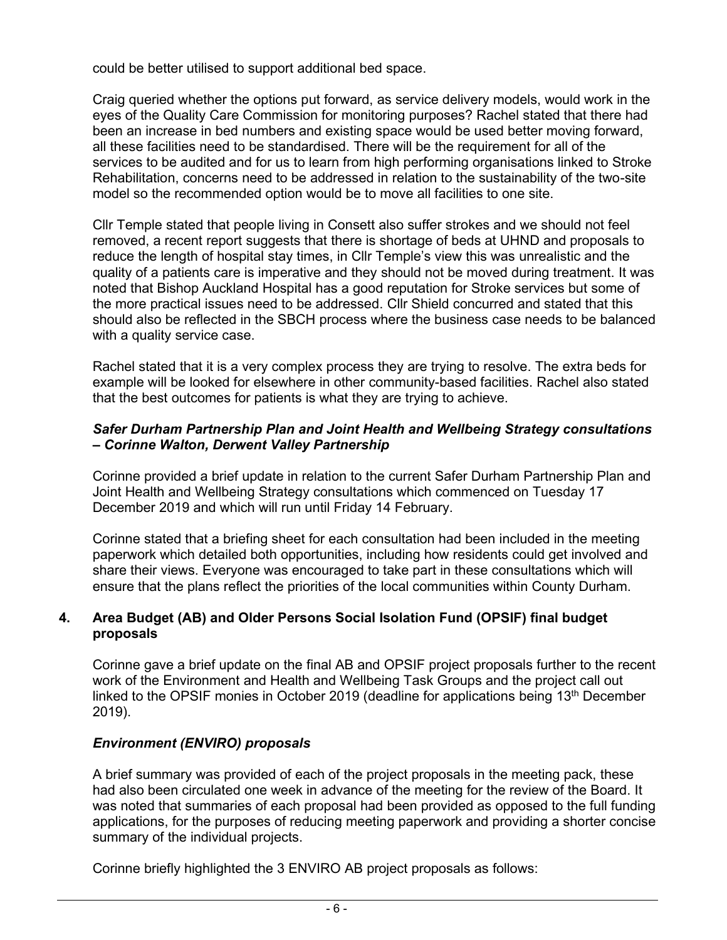could be better utilised to support additional bed space.

Craig queried whether the options put forward, as service delivery models, would work in the eyes of the Quality Care Commission for monitoring purposes? Rachel stated that there had been an increase in bed numbers and existing space would be used better moving forward, all these facilities need to be standardised. There will be the requirement for all of the services to be audited and for us to learn from high performing organisations linked to Stroke Rehabilitation, concerns need to be addressed in relation to the sustainability of the two-site model so the recommended option would be to move all facilities to one site.

Cllr Temple stated that people living in Consett also suffer strokes and we should not feel removed, a recent report suggests that there is shortage of beds at UHND and proposals to reduce the length of hospital stay times, in Cllr Temple's view this was unrealistic and the quality of a patients care is imperative and they should not be moved during treatment. It was noted that Bishop Auckland Hospital has a good reputation for Stroke services but some of the more practical issues need to be addressed. Cllr Shield concurred and stated that this should also be reflected in the SBCH process where the business case needs to be balanced with a quality service case.

Rachel stated that it is a very complex process they are trying to resolve. The extra beds for example will be looked for elsewhere in other community-based facilities. Rachel also stated that the best outcomes for patients is what they are trying to achieve.

#### *Safer Durham Partnership Plan and Joint Health and Wellbeing Strategy consultations – Corinne Walton, Derwent Valley Partnership*

Corinne provided a brief update in relation to the current Safer Durham Partnership Plan and Joint Health and Wellbeing Strategy consultations which commenced on Tuesday 17 December 2019 and which will run until Friday 14 February.

Corinne stated that a briefing sheet for each consultation had been included in the meeting paperwork which detailed both opportunities, including how residents could get involved and share their views. Everyone was encouraged to take part in these consultations which will ensure that the plans reflect the priorities of the local communities within County Durham.

## **4. Area Budget (AB) and Older Persons Social Isolation Fund (OPSIF) final budget proposals**

Corinne gave a brief update on the final AB and OPSIF project proposals further to the recent work of the Environment and Health and Wellbeing Task Groups and the project call out linked to the OPSIF monies in October 2019 (deadline for applications being 13<sup>th</sup> December 2019).

## *Environment (ENVIRO) proposals*

A brief summary was provided of each of the project proposals in the meeting pack, these had also been circulated one week in advance of the meeting for the review of the Board. It was noted that summaries of each proposal had been provided as opposed to the full funding applications, for the purposes of reducing meeting paperwork and providing a shorter concise summary of the individual projects.

Corinne briefly highlighted the 3 ENVIRO AB project proposals as follows: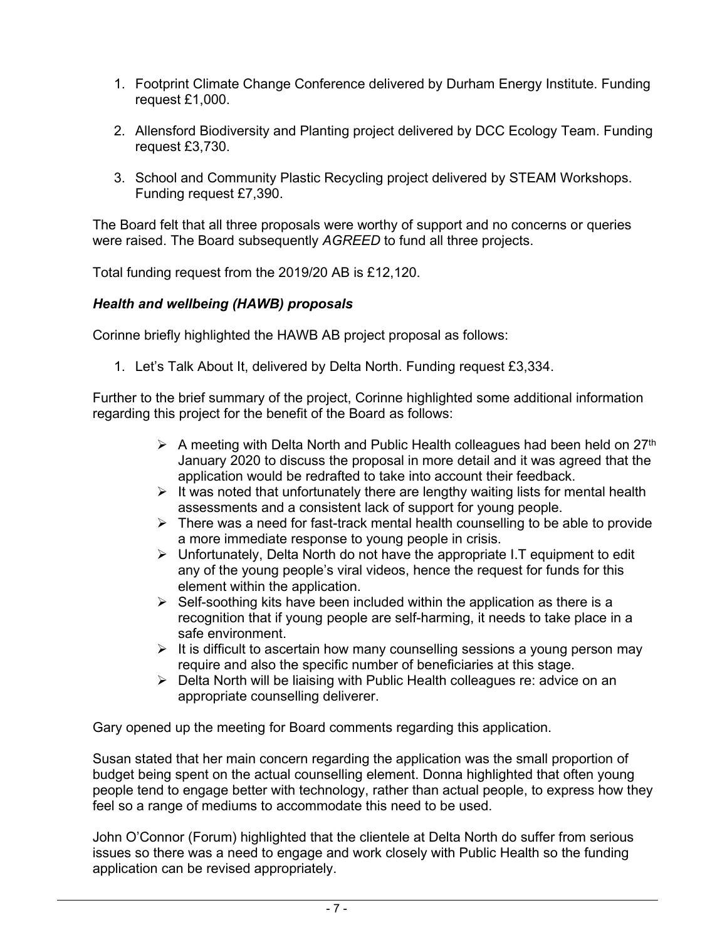- 1. Footprint Climate Change Conference delivered by Durham Energy Institute. Funding request £1,000.
- 2. Allensford Biodiversity and Planting project delivered by DCC Ecology Team. Funding request £3,730.
- 3. School and Community Plastic Recycling project delivered by STEAM Workshops. Funding request £7,390.

The Board felt that all three proposals were worthy of support and no concerns or queries were raised. The Board subsequently *AGREED* to fund all three projects.

Total funding request from the 2019/20 AB is £12,120.

## *Health and wellbeing (HAWB) proposals*

Corinne briefly highlighted the HAWB AB project proposal as follows:

1. Let's Talk About It, delivered by Delta North. Funding request £3,334.

Further to the brief summary of the project, Corinne highlighted some additional information regarding this project for the benefit of the Board as follows:

- $\triangleright$  A meeting with Delta North and Public Health colleagues had been held on 27<sup>th</sup> January 2020 to discuss the proposal in more detail and it was agreed that the application would be redrafted to take into account their feedback.
- $\triangleright$  It was noted that unfortunately there are lengthy waiting lists for mental health assessments and a consistent lack of support for young people.
- $\triangleright$  There was a need for fast-track mental health counselling to be able to provide a more immediate response to young people in crisis.
- ➢ Unfortunately, Delta North do not have the appropriate I.T equipment to edit any of the young people's viral videos, hence the request for funds for this element within the application.
- $\triangleright$  Self-soothing kits have been included within the application as there is a recognition that if young people are self-harming, it needs to take place in a safe environment.
- ➢ It is difficult to ascertain how many counselling sessions a young person may require and also the specific number of beneficiaries at this stage.
- ➢ Delta North will be liaising with Public Health colleagues re: advice on an appropriate counselling deliverer.

Gary opened up the meeting for Board comments regarding this application.

Susan stated that her main concern regarding the application was the small proportion of budget being spent on the actual counselling element. Donna highlighted that often young people tend to engage better with technology, rather than actual people, to express how they feel so a range of mediums to accommodate this need to be used.

John O'Connor (Forum) highlighted that the clientele at Delta North do suffer from serious issues so there was a need to engage and work closely with Public Health so the funding application can be revised appropriately.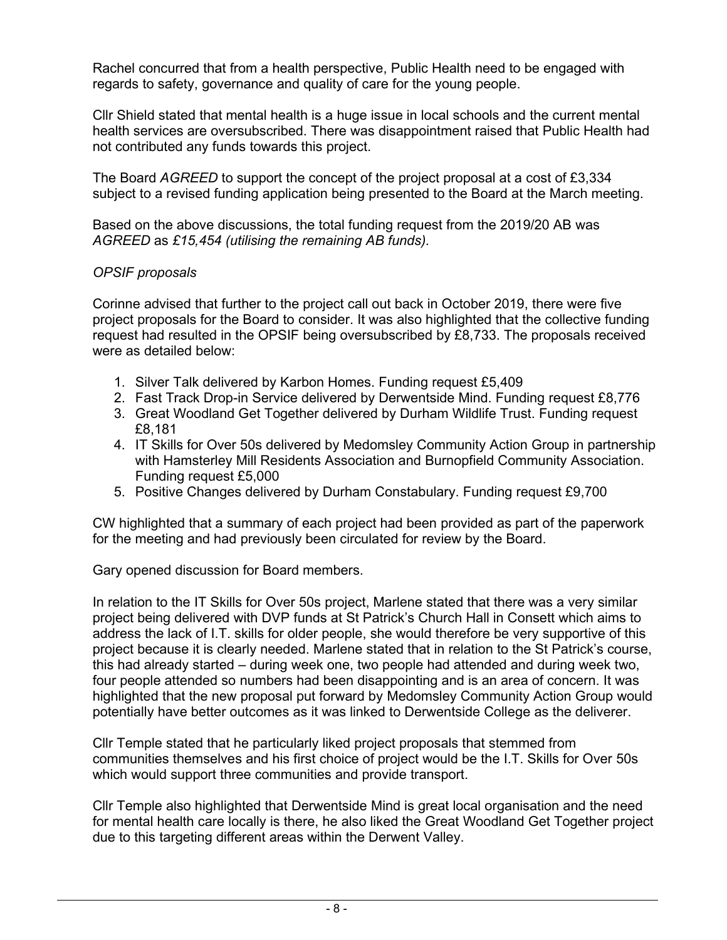Rachel concurred that from a health perspective, Public Health need to be engaged with regards to safety, governance and quality of care for the young people.

Cllr Shield stated that mental health is a huge issue in local schools and the current mental health services are oversubscribed. There was disappointment raised that Public Health had not contributed any funds towards this project.

The Board *AGREED* to support the concept of the project proposal at a cost of £3,334 subject to a revised funding application being presented to the Board at the March meeting.

Based on the above discussions, the total funding request from the 2019/20 AB was *AGREED* as *£15,454 (utilising the remaining AB funds).* 

## *OPSIF proposals*

Corinne advised that further to the project call out back in October 2019, there were five project proposals for the Board to consider. It was also highlighted that the collective funding request had resulted in the OPSIF being oversubscribed by £8,733. The proposals received were as detailed below:

- 1. Silver Talk delivered by Karbon Homes. Funding request £5,409
- 2. Fast Track Drop-in Service delivered by Derwentside Mind. Funding request £8,776
- 3. Great Woodland Get Together delivered by Durham Wildlife Trust. Funding request £8,181
- 4. IT Skills for Over 50s delivered by Medomsley Community Action Group in partnership with Hamsterley Mill Residents Association and Burnopfield Community Association. Funding request £5,000
- 5. Positive Changes delivered by Durham Constabulary. Funding request £9,700

CW highlighted that a summary of each project had been provided as part of the paperwork for the meeting and had previously been circulated for review by the Board.

Gary opened discussion for Board members.

In relation to the IT Skills for Over 50s project, Marlene stated that there was a very similar project being delivered with DVP funds at St Patrick's Church Hall in Consett which aims to address the lack of I.T. skills for older people, she would therefore be very supportive of this project because it is clearly needed. Marlene stated that in relation to the St Patrick's course, this had already started – during week one, two people had attended and during week two, four people attended so numbers had been disappointing and is an area of concern. It was highlighted that the new proposal put forward by Medomsley Community Action Group would potentially have better outcomes as it was linked to Derwentside College as the deliverer.

Cllr Temple stated that he particularly liked project proposals that stemmed from communities themselves and his first choice of project would be the I.T. Skills for Over 50s which would support three communities and provide transport.

Cllr Temple also highlighted that Derwentside Mind is great local organisation and the need for mental health care locally is there, he also liked the Great Woodland Get Together project due to this targeting different areas within the Derwent Valley.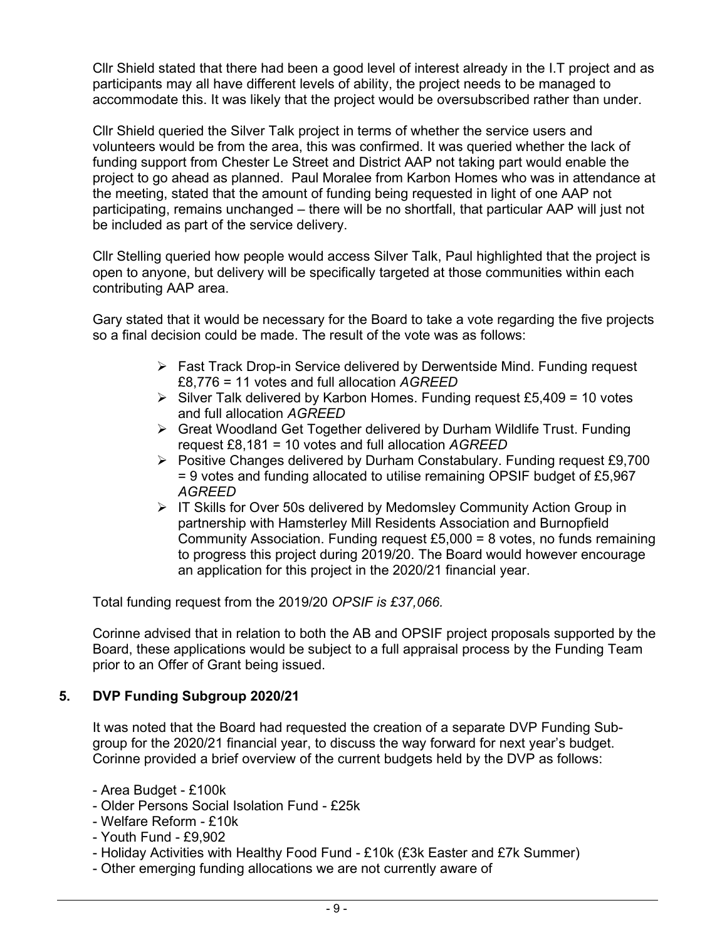Cllr Shield stated that there had been a good level of interest already in the I.T project and as participants may all have different levels of ability, the project needs to be managed to accommodate this. It was likely that the project would be oversubscribed rather than under.

Cllr Shield queried the Silver Talk project in terms of whether the service users and volunteers would be from the area, this was confirmed. It was queried whether the lack of funding support from Chester Le Street and District AAP not taking part would enable the project to go ahead as planned. Paul Moralee from Karbon Homes who was in attendance at the meeting, stated that the amount of funding being requested in light of one AAP not participating, remains unchanged – there will be no shortfall, that particular AAP will just not be included as part of the service delivery.

Cllr Stelling queried how people would access Silver Talk, Paul highlighted that the project is open to anyone, but delivery will be specifically targeted at those communities within each contributing AAP area.

Gary stated that it would be necessary for the Board to take a vote regarding the five projects so a final decision could be made. The result of the vote was as follows:

- ➢ Fast Track Drop-in Service delivered by Derwentside Mind. Funding request £8,776 = 11 votes and full allocation *AGREED*
- $\triangleright$  Silver Talk delivered by Karbon Homes. Funding request £5,409 = 10 votes and full allocation *AGREED*
- ➢ Great Woodland Get Together delivered by Durham Wildlife Trust. Funding request £8,181 = 10 votes and full allocation *AGREED*
- ➢ Positive Changes delivered by Durham Constabulary. Funding request £9,700 = 9 votes and funding allocated to utilise remaining OPSIF budget of £5,967 *AGREED*
- ➢ IT Skills for Over 50s delivered by Medomsley Community Action Group in partnership with Hamsterley Mill Residents Association and Burnopfield Community Association. Funding request  $£5,000 = 8$  votes, no funds remaining to progress this project during 2019/20. The Board would however encourage an application for this project in the 2020/21 financial year.

Total funding request from the 2019/20 *OPSIF is £37,066.* 

Corinne advised that in relation to both the AB and OPSIF project proposals supported by the Board, these applications would be subject to a full appraisal process by the Funding Team prior to an Offer of Grant being issued.

## **5. DVP Funding Subgroup 2020/21**

It was noted that the Board had requested the creation of a separate DVP Funding Subgroup for the 2020/21 financial year, to discuss the way forward for next year's budget. Corinne provided a brief overview of the current budgets held by the DVP as follows:

- Area Budget £100k
- Older Persons Social Isolation Fund £25k
- Welfare Reform £10k
- Youth Fund £9,902
- Holiday Activities with Healthy Food Fund £10k (£3k Easter and £7k Summer)
- Other emerging funding allocations we are not currently aware of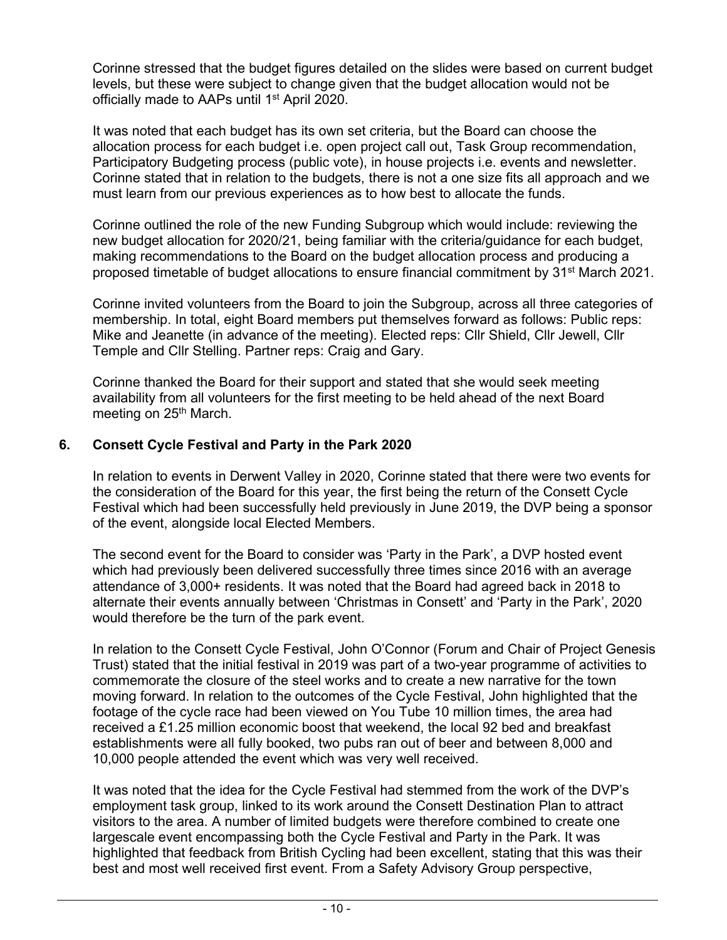Corinne stressed that the budget figures detailed on the slides were based on current budget levels, but these were subject to change given that the budget allocation would not be officially made to AAPs until 1st April 2020.

It was noted that each budget has its own set criteria, but the Board can choose the allocation process for each budget i.e. open project call out, Task Group recommendation, Participatory Budgeting process (public vote), in house projects i.e. events and newsletter. Corinne stated that in relation to the budgets, there is not a one size fits all approach and we must learn from our previous experiences as to how best to allocate the funds.

Corinne outlined the role of the new Funding Subgroup which would include: reviewing the new budget allocation for 2020/21, being familiar with the criteria/guidance for each budget, making recommendations to the Board on the budget allocation process and producing a proposed timetable of budget allocations to ensure financial commitment by 31st March 2021.

Corinne invited volunteers from the Board to join the Subgroup, across all three categories of membership. In total, eight Board members put themselves forward as follows: Public reps: Mike and Jeanette (in advance of the meeting). Elected reps: Cllr Shield, Cllr Jewell, Cllr Temple and Cllr Stelling. Partner reps: Craig and Gary.

Corinne thanked the Board for their support and stated that she would seek meeting availability from all volunteers for the first meeting to be held ahead of the next Board meeting on 25<sup>th</sup> March.

## **6. Consett Cycle Festival and Party in the Park 2020**

In relation to events in Derwent Valley in 2020, Corinne stated that there were two events for the consideration of the Board for this year, the first being the return of the Consett Cycle Festival which had been successfully held previously in June 2019, the DVP being a sponsor of the event, alongside local Elected Members.

The second event for the Board to consider was 'Party in the Park', a DVP hosted event which had previously been delivered successfully three times since 2016 with an average attendance of 3,000+ residents. It was noted that the Board had agreed back in 2018 to alternate their events annually between 'Christmas in Consett' and 'Party in the Park', 2020 would therefore be the turn of the park event.

In relation to the Consett Cycle Festival, John O'Connor (Forum and Chair of Project Genesis Trust) stated that the initial festival in 2019 was part of a two-year programme of activities to commemorate the closure of the steel works and to create a new narrative for the town moving forward. In relation to the outcomes of the Cycle Festival, John highlighted that the footage of the cycle race had been viewed on You Tube 10 million times, the area had received a £1.25 million economic boost that weekend, the local 92 bed and breakfast establishments were all fully booked, two pubs ran out of beer and between 8,000 and 10,000 people attended the event which was very well received.

It was noted that the idea for the Cycle Festival had stemmed from the work of the DVP's employment task group, linked to its work around the Consett Destination Plan to attract visitors to the area. A number of limited budgets were therefore combined to create one largescale event encompassing both the Cycle Festival and Party in the Park. It was highlighted that feedback from British Cycling had been excellent, stating that this was their best and most well received first event. From a Safety Advisory Group perspective,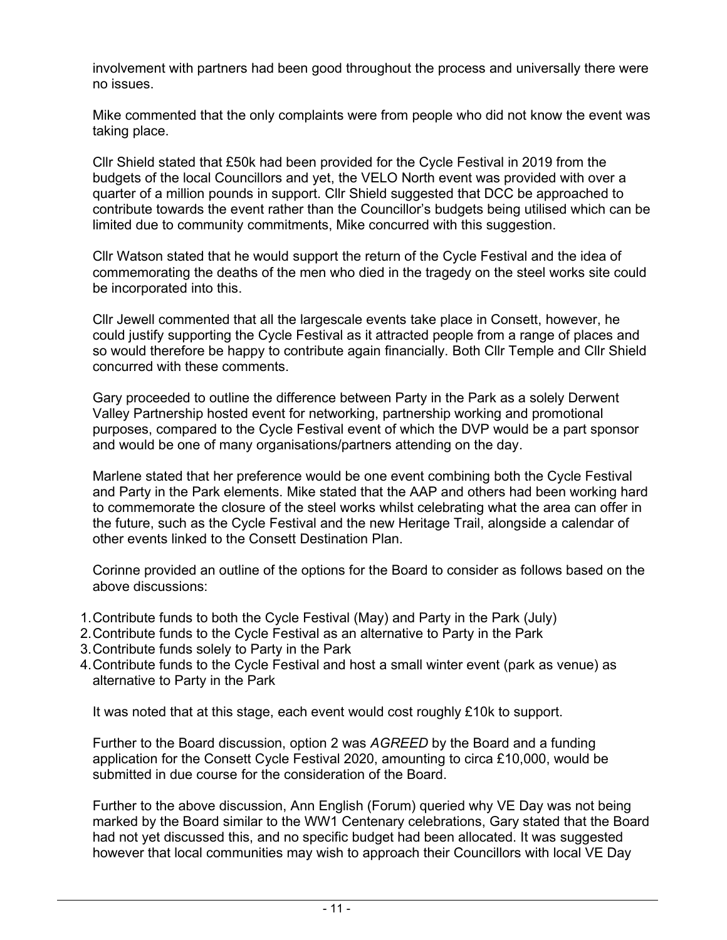involvement with partners had been good throughout the process and universally there were no issues.

Mike commented that the only complaints were from people who did not know the event was taking place.

Cllr Shield stated that £50k had been provided for the Cycle Festival in 2019 from the budgets of the local Councillors and yet, the VELO North event was provided with over a quarter of a million pounds in support. Cllr Shield suggested that DCC be approached to contribute towards the event rather than the Councillor's budgets being utilised which can be limited due to community commitments, Mike concurred with this suggestion.

Cllr Watson stated that he would support the return of the Cycle Festival and the idea of commemorating the deaths of the men who died in the tragedy on the steel works site could be incorporated into this.

Cllr Jewell commented that all the largescale events take place in Consett, however, he could justify supporting the Cycle Festival as it attracted people from a range of places and so would therefore be happy to contribute again financially. Both Cllr Temple and Cllr Shield concurred with these comments.

Gary proceeded to outline the difference between Party in the Park as a solely Derwent Valley Partnership hosted event for networking, partnership working and promotional purposes, compared to the Cycle Festival event of which the DVP would be a part sponsor and would be one of many organisations/partners attending on the day.

Marlene stated that her preference would be one event combining both the Cycle Festival and Party in the Park elements. Mike stated that the AAP and others had been working hard to commemorate the closure of the steel works whilst celebrating what the area can offer in the future, such as the Cycle Festival and the new Heritage Trail, alongside a calendar of other events linked to the Consett Destination Plan.

Corinne provided an outline of the options for the Board to consider as follows based on the above discussions:

- 1.Contribute funds to both the Cycle Festival (May) and Party in the Park (July)
- 2.Contribute funds to the Cycle Festival as an alternative to Party in the Park
- 3.Contribute funds solely to Party in the Park
- 4.Contribute funds to the Cycle Festival and host a small winter event (park as venue) as alternative to Party in the Park

It was noted that at this stage, each event would cost roughly £10k to support.

Further to the Board discussion, option 2 was *AGREED* by the Board and a funding application for the Consett Cycle Festival 2020, amounting to circa £10,000, would be submitted in due course for the consideration of the Board.

Further to the above discussion, Ann English (Forum) queried why VE Day was not being marked by the Board similar to the WW1 Centenary celebrations, Gary stated that the Board had not yet discussed this, and no specific budget had been allocated. It was suggested however that local communities may wish to approach their Councillors with local VE Day